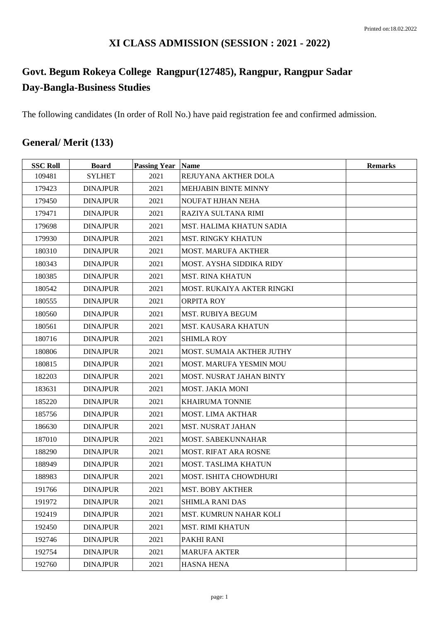### **XI CLASS ADMISSION (SESSION : 2021 - 2022)**

# **Govt. Begum Rokeya College Rangpur(127485), Rangpur, Rangpur Sadar Day-Bangla-Business Studies**

The following candidates (In order of Roll No.) have paid registration fee and confirmed admission.

## **General/ Merit (133)**

| <b>SSC Roll</b> | <b>Board</b>    | <b>Passing Year Name</b> |                                   | <b>Remarks</b> |
|-----------------|-----------------|--------------------------|-----------------------------------|----------------|
| 109481          | <b>SYLHET</b>   | 2021                     | REJUYANA AKTHER DOLA              |                |
| 179423          | <b>DINAJPUR</b> | 2021                     | <b>MEHJABIN BINTE MINNY</b>       |                |
| 179450          | <b>DINAJPUR</b> | 2021                     | <b>NOUFAT HJHAN NEHA</b>          |                |
| 179471          | <b>DINAJPUR</b> | 2021                     | RAZIYA SULTANA RIMI               |                |
| 179698          | <b>DINAJPUR</b> | 2021                     | <b>MST. HALIMA KHATUN SADIA</b>   |                |
| 179930          | <b>DINAJPUR</b> | 2021                     | <b>MST. RINGKY KHATUN</b>         |                |
| 180310          | <b>DINAJPUR</b> | 2021                     | <b>MOST. MARUFA AKTHER</b>        |                |
| 180343          | <b>DINAJPUR</b> | 2021                     | MOST. AYSHA SIDDIKA RIDY          |                |
| 180385          | <b>DINAJPUR</b> | 2021                     | <b>MST. RINA KHATUN</b>           |                |
| 180542          | <b>DINAJPUR</b> | 2021                     | <b>MOST. RUKAIYA AKTER RINGKI</b> |                |
| 180555          | <b>DINAJPUR</b> | 2021                     | <b>ORPITA ROY</b>                 |                |
| 180560          | <b>DINAJPUR</b> | 2021                     | MST. RUBIYA BEGUM                 |                |
| 180561          | <b>DINAJPUR</b> | 2021                     | MST. KAUSARA KHATUN               |                |
| 180716          | <b>DINAJPUR</b> | 2021                     | <b>SHIMLA ROY</b>                 |                |
| 180806          | <b>DINAJPUR</b> | 2021                     | <b>MOST. SUMAIA AKTHER JUTHY</b>  |                |
| 180815          | <b>DINAJPUR</b> | 2021                     | <b>MOST. MARUFA YESMIN MOU</b>    |                |
| 182203          | <b>DINAJPUR</b> | 2021                     | <b>MOST. NUSRAT JAHAN BINTY</b>   |                |
| 183631          | <b>DINAJPUR</b> | 2021                     | <b>MOST. JAKIA MONI</b>           |                |
| 185220          | <b>DINAJPUR</b> | 2021                     | <b>KHAIRUMA TONNIE</b>            |                |
| 185756          | <b>DINAJPUR</b> | 2021                     | <b>MOST. LIMA AKTHAR</b>          |                |
| 186630          | <b>DINAJPUR</b> | 2021                     | <b>MST. NUSRAT JAHAN</b>          |                |
| 187010          | <b>DINAJPUR</b> | 2021                     | <b>MOST. SABEKUNNAHAR</b>         |                |
| 188290          | <b>DINAJPUR</b> | 2021                     | MOST. RIFAT ARA ROSNE             |                |
| 188949          | <b>DINAJPUR</b> | 2021                     | MOST. TASLIMA KHATUN              |                |
| 188983          | <b>DINAJPUR</b> | 2021                     | MOST. ISHITA CHOWDHURI            |                |
| 191766          | <b>DINAJPUR</b> | 2021                     | <b>MST. BOBY AKTHER</b>           |                |
| 191972          | <b>DINAJPUR</b> | 2021                     | <b>SHIMLA RANI DAS</b>            |                |
| 192419          | <b>DINAJPUR</b> | 2021                     | <b>MST. KUMRUN NAHAR KOLI</b>     |                |
| 192450          | <b>DINAJPUR</b> | 2021                     | <b>MST. RIMI KHATUN</b>           |                |
| 192746          | <b>DINAJPUR</b> | 2021                     | PAKHI RANI                        |                |
| 192754          | <b>DINAJPUR</b> | 2021                     | <b>MARUFA AKTER</b>               |                |
| 192760          | <b>DINAJPUR</b> | 2021                     | <b>HASNA HENA</b>                 |                |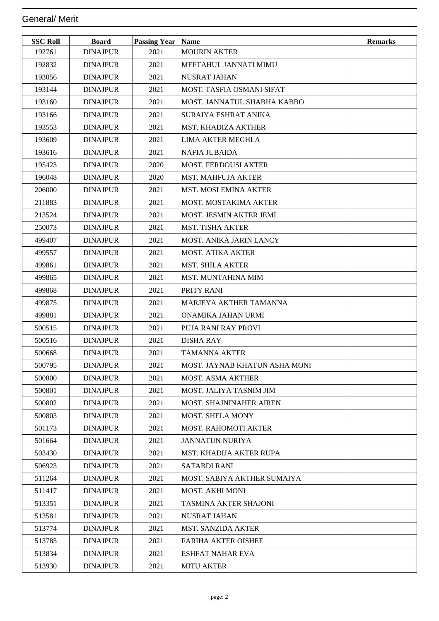#### General/ Merit

| <b>SSC Roll</b> | <b>Board</b>    | <b>Passing Year Name</b> |                                  | <b>Remarks</b> |
|-----------------|-----------------|--------------------------|----------------------------------|----------------|
| 192761          | <b>DINAJPUR</b> | 2021                     | <b>MOURIN AKTER</b>              |                |
| 192832          | <b>DINAJPUR</b> | 2021                     | MEFTAHUL JANNATI MIMU            |                |
| 193056          | <b>DINAJPUR</b> | 2021                     | <b>NUSRAT JAHAN</b>              |                |
| 193144          | <b>DINAJPUR</b> | 2021                     | <b>MOST. TASFIA OSMANI SIFAT</b> |                |
| 193160          | <b>DINAJPUR</b> | 2021                     | MOST. JANNATUL SHABHA KABBO      |                |
| 193166          | <b>DINAJPUR</b> | 2021                     | SURAIYA ESHRAT ANIKA             |                |
| 193553          | <b>DINAJPUR</b> | 2021                     | <b>MST. KHADIZA AKTHER</b>       |                |
| 193609          | <b>DINAJPUR</b> | 2021                     | <b>LIMA AKTER MEGHLA</b>         |                |
| 193616          | <b>DINAJPUR</b> | 2021                     | <b>NAFIA JUBAIDA</b>             |                |
| 195423          | <b>DINAJPUR</b> | 2020                     | <b>MOST. FERDOUSI AKTER</b>      |                |
| 196048          | <b>DINAJPUR</b> | 2020                     | <b>MST. MAHFUJA AKTER</b>        |                |
| 206000          | <b>DINAJPUR</b> | 2021                     | <b>MST. MOSLEMINA AKTER</b>      |                |
| 211883          | <b>DINAJPUR</b> | 2021                     | MOST. MOSTAKIMA AKTER            |                |
| 213524          | <b>DINAJPUR</b> | 2021                     | MOST. JESMIN AKTER JEMI          |                |
| 250073          | <b>DINAJPUR</b> | 2021                     | <b>MST. TISHA AKTER</b>          |                |
| 499407          | <b>DINAJPUR</b> | 2021                     | MOST. ANIKA JARIN LANCY          |                |
| 499557          | <b>DINAJPUR</b> | 2021                     | <b>MOST. ATIKA AKTER</b>         |                |
| 499861          | <b>DINAJPUR</b> | 2021                     | <b>MST. SHILA AKTER</b>          |                |
| 499865          | <b>DINAJPUR</b> | 2021                     | <b>MST. MUNTAHINA MIM</b>        |                |
| 499868          | <b>DINAJPUR</b> | 2021                     | <b>PRITY RANI</b>                |                |
| 499875          | <b>DINAJPUR</b> | 2021                     | MARJEYA AKTHER TAMANNA           |                |
| 499881          | <b>DINAJPUR</b> | 2021                     | ONAMIKA JAHAN URMI               |                |
| 500515          | <b>DINAJPUR</b> | 2021                     | PUJA RANI RAY PROVI              |                |
| 500516          | <b>DINAJPUR</b> | 2021                     | <b>DISHA RAY</b>                 |                |
| 500668          | <b>DINAJPUR</b> | 2021                     | <b>TAMANNA AKTER</b>             |                |
| 500795          | <b>DINAJPUR</b> | 2021                     | MOST. JAYNAB KHATUN ASHA MONI    |                |
| 500800          | <b>DINAJPUR</b> | 2021                     | <b>MOST. ASMA AKTHER</b>         |                |
| 500801          | <b>DINAJPUR</b> | 2021                     | MOST. JALIYA TASNIM JIM          |                |
| 500802          | <b>DINAJPUR</b> | 2021                     | <b>MOST. SHAJNINAHER AIREN</b>   |                |
| 500803          | <b>DINAJPUR</b> | 2021                     | <b>MOST. SHELA MONY</b>          |                |
| 501173          | <b>DINAJPUR</b> | 2021                     | <b>MOST. RAHOMOTI AKTER</b>      |                |
| 501664          | <b>DINAJPUR</b> | 2021                     | <b>JANNATUN NURIYA</b>           |                |
| 503430          | <b>DINAJPUR</b> | 2021                     | MST. KHADIJA AKTER RUPA          |                |
| 506923          | <b>DINAJPUR</b> | 2021                     | <b>SATABDI RANI</b>              |                |
| 511264          | <b>DINAJPUR</b> | 2021                     | MOST. SABIYA AKTHER SUMAIYA      |                |
| 511417          | <b>DINAJPUR</b> | 2021                     | MOST. AKHI MONI                  |                |
| 513351          | <b>DINAJPUR</b> | 2021                     | TASMINA AKTER SHAJONI            |                |
| 513581          | <b>DINAJPUR</b> | 2021                     | <b>NUSRAT JAHAN</b>              |                |
| 513774          | <b>DINAJPUR</b> | 2021                     | <b>MST. SANZIDA AKTER</b>        |                |
| 513785          | <b>DINAJPUR</b> | 2021                     | <b>FARIHA AKTER OISHEE</b>       |                |
| 513834          | <b>DINAJPUR</b> | 2021                     | <b>ESHFAT NAHAR EVA</b>          |                |
| 513930          | <b>DINAJPUR</b> | 2021                     | <b>MITU AKTER</b>                |                |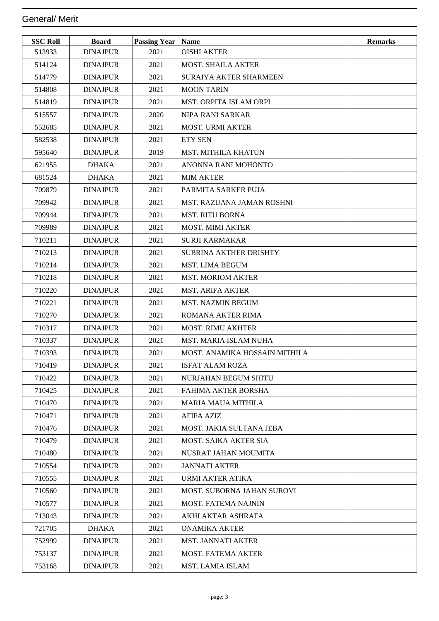#### General/ Merit

| <b>SSC Roll</b> | <b>Board</b>    | <b>Passing Year</b> | <b>Name</b>                       | <b>Remarks</b> |
|-----------------|-----------------|---------------------|-----------------------------------|----------------|
| 513933          | <b>DINAJPUR</b> | 2021                | <b>OISHI AKTER</b>                |                |
| 514124          | <b>DINAJPUR</b> | 2021                | <b>MOST. SHAILA AKTER</b>         |                |
| 514779          | <b>DINAJPUR</b> | 2021                | <b>SURAIYA AKTER SHARMEEN</b>     |                |
| 514808          | <b>DINAJPUR</b> | 2021                | <b>MOON TARIN</b>                 |                |
| 514819          | <b>DINAJPUR</b> | 2021                | MST. ORPITA ISLAM ORPI            |                |
| 515557          | <b>DINAJPUR</b> | 2020                | NIPA RANI SARKAR                  |                |
| 552685          | <b>DINAJPUR</b> | 2021                | <b>MOST. URMI AKTER</b>           |                |
| 582538          | <b>DINAJPUR</b> | 2021                | <b>ETY SEN</b>                    |                |
| 595640          | <b>DINAJPUR</b> | 2019                | <b>MST. MITHILA KHATUN</b>        |                |
| 621955          | <b>DHAKA</b>    | 2021                | ANONNA RANI MOHONTO               |                |
| 681524          | <b>DHAKA</b>    | 2021                | <b>MIM AKTER</b>                  |                |
| 709879          | <b>DINAJPUR</b> | 2021                | PARMITA SARKER PUJA               |                |
| 709942          | <b>DINAJPUR</b> | 2021                | MST. RAZUANA JAMAN ROSHNI         |                |
| 709944          | <b>DINAJPUR</b> | 2021                | <b>MST. RITU BORNA</b>            |                |
| 709989          | <b>DINAJPUR</b> | 2021                | <b>MOST. MIMI AKTER</b>           |                |
| 710211          | <b>DINAJPUR</b> | 2021                | <b>SURJI KARMAKAR</b>             |                |
| 710213          | <b>DINAJPUR</b> | 2021                | SUBRINA AKTHER DRISHTY            |                |
| 710214          | <b>DINAJPUR</b> | 2021                | <b>MST. LIMA BEGUM</b>            |                |
| 710218          | <b>DINAJPUR</b> | 2021                | <b>MST. MORIOM AKTER</b>          |                |
| 710220          | <b>DINAJPUR</b> | 2021                | <b>MST. ARIFA AKTER</b>           |                |
| 710221          | <b>DINAJPUR</b> | 2021                | <b>MST. NAZMIN BEGUM</b>          |                |
| 710270          | <b>DINAJPUR</b> | 2021                | ROMANA AKTER RIMA                 |                |
| 710317          | <b>DINAJPUR</b> | 2021                | <b>MOST. RIMU AKHTER</b>          |                |
| 710337          | <b>DINAJPUR</b> | 2021                | MST. MARIA ISLAM NUHA             |                |
| 710393          | <b>DINAJPUR</b> | 2021                | MOST. ANAMIKA HOSSAIN MITHILA     |                |
| 710419          | <b>DINAJPUR</b> | 2021                | <b>ISFAT ALAM ROZA</b>            |                |
| 710422          | <b>DINAJPUR</b> | 2021                | NURJAHAN BEGUM SHITU              |                |
| 710425          | <b>DINAJPUR</b> | 2021                | <b>FAHIMA AKTER BORSHA</b>        |                |
| 710470          | <b>DINAJPUR</b> | 2021                | <b>MARIA MAUA MITHILA</b>         |                |
| 710471          | <b>DINAJPUR</b> | 2021                | AFIFA AZIZ                        |                |
| 710476          | <b>DINAJPUR</b> | 2021                | MOST. JAKIA SULTANA JEBA          |                |
| 710479          | <b>DINAJPUR</b> | 2021                | <b>MOST. SAIKA AKTER SIA</b>      |                |
| 710480          | <b>DINAJPUR</b> | 2021                | NUSRAT JAHAN MOUMITA              |                |
| 710554          | <b>DINAJPUR</b> | 2021                | <b>JANNATI AKTER</b>              |                |
| 710555          | <b>DINAJPUR</b> | 2021                | URMI AKTER ATIKA                  |                |
| 710560          | <b>DINAJPUR</b> | 2021                | <b>MOST. SUBORNA JAHAN SUROVI</b> |                |
| 710577          | <b>DINAJPUR</b> | 2021                | <b>MOST. FATEMA NAJNIN</b>        |                |
| 713043          | <b>DINAJPUR</b> | 2021                | AKHI AKTAR ASHRAFA                |                |
| 721705          | <b>DHAKA</b>    | 2021                | <b>ONAMIKA AKTER</b>              |                |
| 752999          | <b>DINAJPUR</b> | 2021                | <b>MST. JANNATI AKTER</b>         |                |
| 753137          | <b>DINAJPUR</b> | 2021                | <b>MOST. FATEMA AKTER</b>         |                |
| 753168          | <b>DINAJPUR</b> | 2021                | MST. LAMIA ISLAM                  |                |